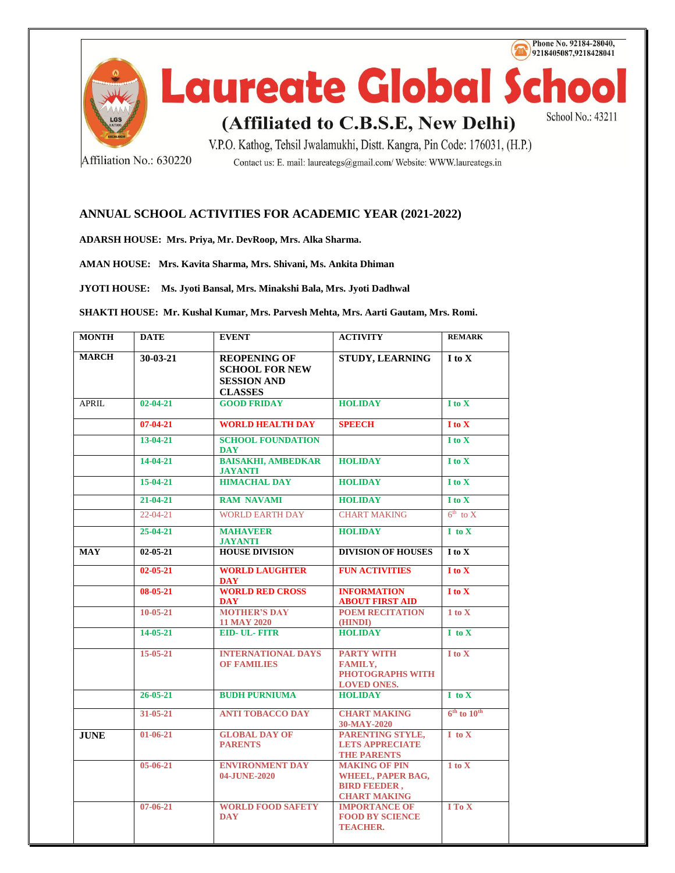

Affiliation No.: 630220

Contact us: E. mail: laureategs@gmail.com/ Website: WWW.laureategs.in

## **ANNUAL SCHOOL ACTIVITIES FOR ACADEMIC YEAR (2021-2022)**

**ADARSH HOUSE: Mrs. Priya, Mr. DevRoop, Mrs. Alka Sharma.**

**AMAN HOUSE: Mrs. Kavita Sharma, Mrs. Shivani, Ms. Ankita Dhiman**

**JYOTI HOUSE: Ms. Jyoti Bansal, Mrs. Minakshi Bala, Mrs. Jyoti Dadhwal**

**SHAKTI HOUSE: Mr. Kushal Kumar, Mrs. Parvesh Mehta, Mrs. Aarti Gautam, Mrs. Romi.**

| <b>MONTH</b> | <b>DATE</b>    | <b>EVENT</b>                                                                         | <b>ACTIVITY</b>                                                                                | <b>REMARK</b>                    |
|--------------|----------------|--------------------------------------------------------------------------------------|------------------------------------------------------------------------------------------------|----------------------------------|
| <b>MARCH</b> | $30-03-21$     | <b>REOPENING OF</b><br><b>SCHOOL FOR NEW</b><br><b>SESSION AND</b><br><b>CLASSES</b> | STUDY, LEARNING                                                                                | I to X                           |
| <b>APRIL</b> | $02 - 04 - 21$ | <b>GOOD FRIDAY</b>                                                                   | <b>HOLIDAY</b>                                                                                 | I to X                           |
|              | $07 - 04 - 21$ | <b>WORLD HEALTH DAY</b>                                                              | <b>SPEECH</b>                                                                                  | I to X                           |
|              | $13-04-21$     | <b>SCHOOL FOUNDATION</b><br><b>DAY</b>                                               |                                                                                                | I to X                           |
|              | $14 - 04 - 21$ | <b>BAISAKHI, AMBEDKAR</b><br><b>JAYANTI</b>                                          | <b>HOLIDAY</b>                                                                                 | I to X                           |
|              | 15-04-21       | <b>HIMACHAL DAY</b>                                                                  | <b>HOLIDAY</b>                                                                                 | I to X                           |
|              | $21 - 04 - 21$ | <b>RAM NAVAMI</b>                                                                    | <b>HOLIDAY</b>                                                                                 | I to X                           |
|              | $22 - 04 - 21$ | <b>WORLD EARTH DAY</b>                                                               | <b>CHART MAKING</b>                                                                            | $6^{\text{th}}$ to X             |
|              | $25 - 04 - 21$ | <b>MAHAVEER</b><br><b>JAYANTI</b>                                                    | <b>HOLIDAY</b>                                                                                 | $I$ to $X$                       |
| <b>MAY</b>   | $02 - 05 - 21$ | <b>HOUSE DIVISION</b>                                                                | <b>DIVISION OF HOUSES</b>                                                                      | $\overline{I}$ to $\overline{X}$ |
|              | $02 - 05 - 21$ | <b>WORLD LAUGHTER</b><br><b>DAY</b>                                                  | <b>FUN ACTIVITIES</b>                                                                          | I to X                           |
|              | 08-05-21       | <b>WORLD RED CROSS</b><br><b>DAY</b>                                                 | <b>INFORMATION</b><br><b>ABOUT FIRST AID</b>                                                   | I to X                           |
|              | $10 - 05 - 21$ | <b>MOTHER'S DAY</b><br><b>11 MAY 2020</b>                                            | <b>POEM RECITATION</b><br>(HINDI)                                                              | 1 to X                           |
|              | 14-05-21       | <b>EID-UL-FITR</b>                                                                   | <b>HOLIDAY</b>                                                                                 | $I$ to $X$                       |
|              | $15-05-21$     | <b>INTERNATIONAL DAYS</b><br><b>OF FAMILIES</b>                                      | <b>PARTY WITH</b><br><b>FAMILY,</b><br><b>PHOTOGRAPHS WITH</b><br><b>LOVED ONES.</b>           | $I$ to $X$                       |
|              | $26 - 05 - 21$ | <b>BUDH PURNIUMA</b>                                                                 | <b>HOLIDAY</b>                                                                                 | $I$ to $X$                       |
|              | $31 - 05 - 21$ | <b>ANTI TOBACCO DAY</b>                                                              | <b>CHART MAKING</b><br>30-MAY-2020                                                             | $6th$ to $10th$                  |
| <b>JUNE</b>  | $01-06-21$     | <b>GLOBAL DAY OF</b><br><b>PARENTS</b>                                               | PARENTING STYLE,<br><b>LETS APPRECIATE</b><br><b>THE PARENTS</b>                               | $I$ to $X$                       |
|              | 05-06-21       | <b>ENVIRONMENT DAY</b><br>04-JUNE-2020                                               | <b>MAKING OF PIN</b><br><b>WHEEL, PAPER BAG,</b><br><b>BIRD FEEDER,</b><br><b>CHART MAKING</b> | 1 to X                           |
|              | $07 - 06 - 21$ | <b>WORLD FOOD SAFETY</b><br><b>DAY</b>                                               | <b>IMPORTANCE OF</b><br><b>FOOD BY SCIENCE</b><br><b>TEACHER.</b>                              | I To X                           |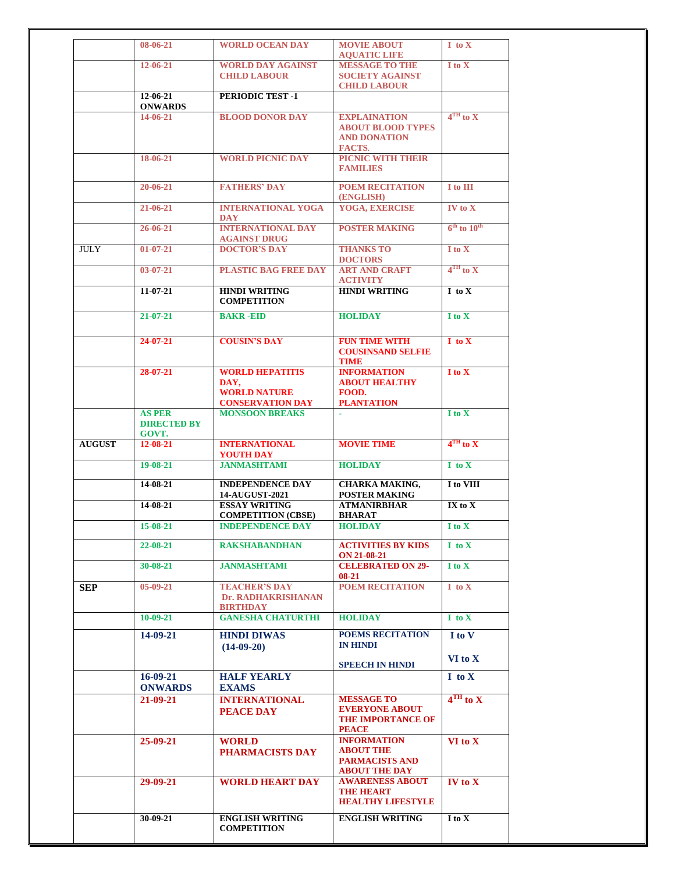| <b>WORLD OCEAN DAY</b><br><b>MOVIE ABOUT</b><br>08-06-21<br>$I$ to $X$<br><b>AQUATIC LIFE</b><br><b>WORLD DAY AGAINST</b><br><b>MESSAGE TO THE</b><br>I to X<br>12-06-21<br><b>CHILD LABOUR</b><br><b>SOCIETY AGAINST</b><br><b>CHILD LABOUR</b><br>12-06-21<br><b>PERIODIC TEST -1</b><br><b>ONWARDS</b><br>$4TH$ to X<br><b>BLOOD DONOR DAY</b><br>14-06-21<br><b>EXPLAINATION</b><br><b>ABOUT BLOOD TYPES</b><br><b>AND DONATION</b><br><b>FACTS.</b><br>PICNIC WITH THEIR<br>18-06-21<br><b>WORLD PICNIC DAY</b><br><b>FAMILIES</b><br>$20 - 06 - 21$<br><b>FATHERS' DAY</b><br><b>POEM RECITATION</b><br>I to III<br>(ENGLISH)<br><b>YOGA, EXERCISE</b><br><b>INTERNATIONAL YOGA</b><br>$IV$ to $X$<br>21-06-21<br><b>DAY</b><br>$6th$ to $10th$<br><b>INTERNATIONAL DAY</b><br><b>POSTER MAKING</b><br>26-06-21<br><b>AGAINST DRUG</b><br><b>DOCTOR'S DAY</b><br><b>JULY</b><br><b>THANKS TO</b><br>I to X<br>$01 - 07 - 21$<br><b>DOCTORS</b><br>$4TH$ to X<br><b>PLASTIC BAG FREE DAY</b><br><b>ART AND CRAFT</b><br>$03-07-21$<br><b>ACTIVITY</b><br><b>HINDI WRITING</b><br>$11-07-21$<br><b>HINDI WRITING</b><br>I to X<br><b>COMPETITION</b><br><b>BAKR-EID</b><br><b>HOLIDAY</b><br>$21 - 07 - 21$<br>I to X<br><b>COUSIN'S DAY</b><br><b>FUN TIME WITH</b><br>$24 - 07 - 21$<br>$I$ to $X$<br><b>COUSINSAND SELFIE</b><br>TIME<br><b>WORLD HEPATITIS</b><br>I to X<br>$28 - 07 - 21$<br><b>INFORMATION</b><br>DAY,<br><b>ABOUT HEALTHY</b><br><b>WORLD NATURE</b><br>FOOD.<br><b>CONSERVATION DAY</b><br><b>PLANTATION</b><br><b>MONSOON BREAKS</b><br><b>AS PER</b><br>I to X<br><b>DIRECTED BY</b><br>GOVT.<br>$4TH$ to X<br><b>AUGUST</b><br><b>INTERNATIONAL</b><br><b>MOVIE TIME</b><br>12-08-21<br><b>YOUTH DAY</b><br><b>JANMASHTAMI</b><br>$19 - 08 - 21$<br><b>HOLIDAY</b><br>$I$ to $X$<br>14-08-21<br><b>INDEPENDENCE DAY</b><br><b>CHARKA MAKING,</b><br>I to VIII<br>14-AUGUST-2021<br>POSTER MAKING<br><b>ESSAY WRITING</b><br><b>ATMANIRBHAR</b><br>14-08-21<br>$IX$ to $X$<br><b>COMPETITION (CBSE)</b><br><b>BHARAT</b><br><b>INDEPENDENCE DAY</b><br>15-08-21<br><b>HOLIDAY</b><br>I to X<br><b>RAKSHABANDHAN</b><br><b>ACTIVITIES BY KIDS</b><br>22-08-21<br>$I$ to $X$<br><b>ON 21-08-21</b><br><b>JANMASHTAMI</b><br><b>CELEBRATED ON 29-</b><br>30-08-21<br>I to X<br>$08-21$<br><b>TEACHER'S DAY</b><br>POEM RECITATION<br>$05-09-21$<br>$I$ to $X$<br><b>SEP</b><br>Dr. RADHAKRISHANAN<br><b>BIRTHDAY</b><br><b>GANESHA CHATURTHI</b><br><b>HOLIDAY</b><br>$10-09-21$<br>I to X<br><b>HINDI DIWAS</b><br><b>POEMS RECITATION</b><br>14-09-21<br>I to V<br><b>IN HINDI</b><br>$(14-09-20)$<br>VI to X<br><b>SPEECH IN HINDI</b><br>$16-09-21$<br><b>HALF YEARLY</b><br>I to X<br><b>EXAMS</b><br><b>ONWARDS</b><br>$4TH$ to X<br><b>MESSAGE TO</b><br>21-09-21<br><b>INTERNATIONAL</b><br><b>EVERYONE ABOUT</b><br><b>PEACE DAY</b><br><b>THE IMPORTANCE OF</b><br><b>PEACE</b><br><b>INFORMATION</b><br>$VI$ to $X$<br>25-09-21<br><b>WORLD</b><br><b>ABOUT THE</b><br>PHARMACISTS DAY<br><b>PARMACISTS AND</b><br><b>ABOUT THE DAY</b><br><b>WORLD HEART DAY</b><br><b>AWARENESS ABOUT</b><br>29-09-21<br>$IV$ to $X$<br><b>THE HEART</b><br><b>HEALTHY LIFESTYLE</b><br><b>ENGLISH WRITING</b><br>30-09-21<br><b>ENGLISH WRITING</b><br>I to X<br><b>COMPETITION</b> |  |  |  |
|--------------------------------------------------------------------------------------------------------------------------------------------------------------------------------------------------------------------------------------------------------------------------------------------------------------------------------------------------------------------------------------------------------------------------------------------------------------------------------------------------------------------------------------------------------------------------------------------------------------------------------------------------------------------------------------------------------------------------------------------------------------------------------------------------------------------------------------------------------------------------------------------------------------------------------------------------------------------------------------------------------------------------------------------------------------------------------------------------------------------------------------------------------------------------------------------------------------------------------------------------------------------------------------------------------------------------------------------------------------------------------------------------------------------------------------------------------------------------------------------------------------------------------------------------------------------------------------------------------------------------------------------------------------------------------------------------------------------------------------------------------------------------------------------------------------------------------------------------------------------------------------------------------------------------------------------------------------------------------------------------------------------------------------------------------------------------------------------------------------------------------------------------------------------------------------------------------------------------------------------------------------------------------------------------------------------------------------------------------------------------------------------------------------------------------------------------------------------------------------------------------------------------------------------------------------------------------------------------------------------------------------------------------------------------------------------------------------------------------------------------------------------------------------------------------------------------------------------------------------------------------------------------------------------------------------------------------------------------------------------------------------------------------------------------------------------------------------------------------------------------------------------------------------------------------------------------------------------------------------------------------------------------------------------------------------|--|--|--|
|                                                                                                                                                                                                                                                                                                                                                                                                                                                                                                                                                                                                                                                                                                                                                                                                                                                                                                                                                                                                                                                                                                                                                                                                                                                                                                                                                                                                                                                                                                                                                                                                                                                                                                                                                                                                                                                                                                                                                                                                                                                                                                                                                                                                                                                                                                                                                                                                                                                                                                                                                                                                                                                                                                                                                                                                                                                                                                                                                                                                                                                                                                                                                                                                                                                                                                              |  |  |  |
|                                                                                                                                                                                                                                                                                                                                                                                                                                                                                                                                                                                                                                                                                                                                                                                                                                                                                                                                                                                                                                                                                                                                                                                                                                                                                                                                                                                                                                                                                                                                                                                                                                                                                                                                                                                                                                                                                                                                                                                                                                                                                                                                                                                                                                                                                                                                                                                                                                                                                                                                                                                                                                                                                                                                                                                                                                                                                                                                                                                                                                                                                                                                                                                                                                                                                                              |  |  |  |
|                                                                                                                                                                                                                                                                                                                                                                                                                                                                                                                                                                                                                                                                                                                                                                                                                                                                                                                                                                                                                                                                                                                                                                                                                                                                                                                                                                                                                                                                                                                                                                                                                                                                                                                                                                                                                                                                                                                                                                                                                                                                                                                                                                                                                                                                                                                                                                                                                                                                                                                                                                                                                                                                                                                                                                                                                                                                                                                                                                                                                                                                                                                                                                                                                                                                                                              |  |  |  |
|                                                                                                                                                                                                                                                                                                                                                                                                                                                                                                                                                                                                                                                                                                                                                                                                                                                                                                                                                                                                                                                                                                                                                                                                                                                                                                                                                                                                                                                                                                                                                                                                                                                                                                                                                                                                                                                                                                                                                                                                                                                                                                                                                                                                                                                                                                                                                                                                                                                                                                                                                                                                                                                                                                                                                                                                                                                                                                                                                                                                                                                                                                                                                                                                                                                                                                              |  |  |  |
|                                                                                                                                                                                                                                                                                                                                                                                                                                                                                                                                                                                                                                                                                                                                                                                                                                                                                                                                                                                                                                                                                                                                                                                                                                                                                                                                                                                                                                                                                                                                                                                                                                                                                                                                                                                                                                                                                                                                                                                                                                                                                                                                                                                                                                                                                                                                                                                                                                                                                                                                                                                                                                                                                                                                                                                                                                                                                                                                                                                                                                                                                                                                                                                                                                                                                                              |  |  |  |
|                                                                                                                                                                                                                                                                                                                                                                                                                                                                                                                                                                                                                                                                                                                                                                                                                                                                                                                                                                                                                                                                                                                                                                                                                                                                                                                                                                                                                                                                                                                                                                                                                                                                                                                                                                                                                                                                                                                                                                                                                                                                                                                                                                                                                                                                                                                                                                                                                                                                                                                                                                                                                                                                                                                                                                                                                                                                                                                                                                                                                                                                                                                                                                                                                                                                                                              |  |  |  |
|                                                                                                                                                                                                                                                                                                                                                                                                                                                                                                                                                                                                                                                                                                                                                                                                                                                                                                                                                                                                                                                                                                                                                                                                                                                                                                                                                                                                                                                                                                                                                                                                                                                                                                                                                                                                                                                                                                                                                                                                                                                                                                                                                                                                                                                                                                                                                                                                                                                                                                                                                                                                                                                                                                                                                                                                                                                                                                                                                                                                                                                                                                                                                                                                                                                                                                              |  |  |  |
|                                                                                                                                                                                                                                                                                                                                                                                                                                                                                                                                                                                                                                                                                                                                                                                                                                                                                                                                                                                                                                                                                                                                                                                                                                                                                                                                                                                                                                                                                                                                                                                                                                                                                                                                                                                                                                                                                                                                                                                                                                                                                                                                                                                                                                                                                                                                                                                                                                                                                                                                                                                                                                                                                                                                                                                                                                                                                                                                                                                                                                                                                                                                                                                                                                                                                                              |  |  |  |
|                                                                                                                                                                                                                                                                                                                                                                                                                                                                                                                                                                                                                                                                                                                                                                                                                                                                                                                                                                                                                                                                                                                                                                                                                                                                                                                                                                                                                                                                                                                                                                                                                                                                                                                                                                                                                                                                                                                                                                                                                                                                                                                                                                                                                                                                                                                                                                                                                                                                                                                                                                                                                                                                                                                                                                                                                                                                                                                                                                                                                                                                                                                                                                                                                                                                                                              |  |  |  |
|                                                                                                                                                                                                                                                                                                                                                                                                                                                                                                                                                                                                                                                                                                                                                                                                                                                                                                                                                                                                                                                                                                                                                                                                                                                                                                                                                                                                                                                                                                                                                                                                                                                                                                                                                                                                                                                                                                                                                                                                                                                                                                                                                                                                                                                                                                                                                                                                                                                                                                                                                                                                                                                                                                                                                                                                                                                                                                                                                                                                                                                                                                                                                                                                                                                                                                              |  |  |  |
|                                                                                                                                                                                                                                                                                                                                                                                                                                                                                                                                                                                                                                                                                                                                                                                                                                                                                                                                                                                                                                                                                                                                                                                                                                                                                                                                                                                                                                                                                                                                                                                                                                                                                                                                                                                                                                                                                                                                                                                                                                                                                                                                                                                                                                                                                                                                                                                                                                                                                                                                                                                                                                                                                                                                                                                                                                                                                                                                                                                                                                                                                                                                                                                                                                                                                                              |  |  |  |
|                                                                                                                                                                                                                                                                                                                                                                                                                                                                                                                                                                                                                                                                                                                                                                                                                                                                                                                                                                                                                                                                                                                                                                                                                                                                                                                                                                                                                                                                                                                                                                                                                                                                                                                                                                                                                                                                                                                                                                                                                                                                                                                                                                                                                                                                                                                                                                                                                                                                                                                                                                                                                                                                                                                                                                                                                                                                                                                                                                                                                                                                                                                                                                                                                                                                                                              |  |  |  |
|                                                                                                                                                                                                                                                                                                                                                                                                                                                                                                                                                                                                                                                                                                                                                                                                                                                                                                                                                                                                                                                                                                                                                                                                                                                                                                                                                                                                                                                                                                                                                                                                                                                                                                                                                                                                                                                                                                                                                                                                                                                                                                                                                                                                                                                                                                                                                                                                                                                                                                                                                                                                                                                                                                                                                                                                                                                                                                                                                                                                                                                                                                                                                                                                                                                                                                              |  |  |  |
|                                                                                                                                                                                                                                                                                                                                                                                                                                                                                                                                                                                                                                                                                                                                                                                                                                                                                                                                                                                                                                                                                                                                                                                                                                                                                                                                                                                                                                                                                                                                                                                                                                                                                                                                                                                                                                                                                                                                                                                                                                                                                                                                                                                                                                                                                                                                                                                                                                                                                                                                                                                                                                                                                                                                                                                                                                                                                                                                                                                                                                                                                                                                                                                                                                                                                                              |  |  |  |
|                                                                                                                                                                                                                                                                                                                                                                                                                                                                                                                                                                                                                                                                                                                                                                                                                                                                                                                                                                                                                                                                                                                                                                                                                                                                                                                                                                                                                                                                                                                                                                                                                                                                                                                                                                                                                                                                                                                                                                                                                                                                                                                                                                                                                                                                                                                                                                                                                                                                                                                                                                                                                                                                                                                                                                                                                                                                                                                                                                                                                                                                                                                                                                                                                                                                                                              |  |  |  |
|                                                                                                                                                                                                                                                                                                                                                                                                                                                                                                                                                                                                                                                                                                                                                                                                                                                                                                                                                                                                                                                                                                                                                                                                                                                                                                                                                                                                                                                                                                                                                                                                                                                                                                                                                                                                                                                                                                                                                                                                                                                                                                                                                                                                                                                                                                                                                                                                                                                                                                                                                                                                                                                                                                                                                                                                                                                                                                                                                                                                                                                                                                                                                                                                                                                                                                              |  |  |  |
|                                                                                                                                                                                                                                                                                                                                                                                                                                                                                                                                                                                                                                                                                                                                                                                                                                                                                                                                                                                                                                                                                                                                                                                                                                                                                                                                                                                                                                                                                                                                                                                                                                                                                                                                                                                                                                                                                                                                                                                                                                                                                                                                                                                                                                                                                                                                                                                                                                                                                                                                                                                                                                                                                                                                                                                                                                                                                                                                                                                                                                                                                                                                                                                                                                                                                                              |  |  |  |
|                                                                                                                                                                                                                                                                                                                                                                                                                                                                                                                                                                                                                                                                                                                                                                                                                                                                                                                                                                                                                                                                                                                                                                                                                                                                                                                                                                                                                                                                                                                                                                                                                                                                                                                                                                                                                                                                                                                                                                                                                                                                                                                                                                                                                                                                                                                                                                                                                                                                                                                                                                                                                                                                                                                                                                                                                                                                                                                                                                                                                                                                                                                                                                                                                                                                                                              |  |  |  |
|                                                                                                                                                                                                                                                                                                                                                                                                                                                                                                                                                                                                                                                                                                                                                                                                                                                                                                                                                                                                                                                                                                                                                                                                                                                                                                                                                                                                                                                                                                                                                                                                                                                                                                                                                                                                                                                                                                                                                                                                                                                                                                                                                                                                                                                                                                                                                                                                                                                                                                                                                                                                                                                                                                                                                                                                                                                                                                                                                                                                                                                                                                                                                                                                                                                                                                              |  |  |  |
|                                                                                                                                                                                                                                                                                                                                                                                                                                                                                                                                                                                                                                                                                                                                                                                                                                                                                                                                                                                                                                                                                                                                                                                                                                                                                                                                                                                                                                                                                                                                                                                                                                                                                                                                                                                                                                                                                                                                                                                                                                                                                                                                                                                                                                                                                                                                                                                                                                                                                                                                                                                                                                                                                                                                                                                                                                                                                                                                                                                                                                                                                                                                                                                                                                                                                                              |  |  |  |
|                                                                                                                                                                                                                                                                                                                                                                                                                                                                                                                                                                                                                                                                                                                                                                                                                                                                                                                                                                                                                                                                                                                                                                                                                                                                                                                                                                                                                                                                                                                                                                                                                                                                                                                                                                                                                                                                                                                                                                                                                                                                                                                                                                                                                                                                                                                                                                                                                                                                                                                                                                                                                                                                                                                                                                                                                                                                                                                                                                                                                                                                                                                                                                                                                                                                                                              |  |  |  |
|                                                                                                                                                                                                                                                                                                                                                                                                                                                                                                                                                                                                                                                                                                                                                                                                                                                                                                                                                                                                                                                                                                                                                                                                                                                                                                                                                                                                                                                                                                                                                                                                                                                                                                                                                                                                                                                                                                                                                                                                                                                                                                                                                                                                                                                                                                                                                                                                                                                                                                                                                                                                                                                                                                                                                                                                                                                                                                                                                                                                                                                                                                                                                                                                                                                                                                              |  |  |  |
|                                                                                                                                                                                                                                                                                                                                                                                                                                                                                                                                                                                                                                                                                                                                                                                                                                                                                                                                                                                                                                                                                                                                                                                                                                                                                                                                                                                                                                                                                                                                                                                                                                                                                                                                                                                                                                                                                                                                                                                                                                                                                                                                                                                                                                                                                                                                                                                                                                                                                                                                                                                                                                                                                                                                                                                                                                                                                                                                                                                                                                                                                                                                                                                                                                                                                                              |  |  |  |
|                                                                                                                                                                                                                                                                                                                                                                                                                                                                                                                                                                                                                                                                                                                                                                                                                                                                                                                                                                                                                                                                                                                                                                                                                                                                                                                                                                                                                                                                                                                                                                                                                                                                                                                                                                                                                                                                                                                                                                                                                                                                                                                                                                                                                                                                                                                                                                                                                                                                                                                                                                                                                                                                                                                                                                                                                                                                                                                                                                                                                                                                                                                                                                                                                                                                                                              |  |  |  |
|                                                                                                                                                                                                                                                                                                                                                                                                                                                                                                                                                                                                                                                                                                                                                                                                                                                                                                                                                                                                                                                                                                                                                                                                                                                                                                                                                                                                                                                                                                                                                                                                                                                                                                                                                                                                                                                                                                                                                                                                                                                                                                                                                                                                                                                                                                                                                                                                                                                                                                                                                                                                                                                                                                                                                                                                                                                                                                                                                                                                                                                                                                                                                                                                                                                                                                              |  |  |  |
|                                                                                                                                                                                                                                                                                                                                                                                                                                                                                                                                                                                                                                                                                                                                                                                                                                                                                                                                                                                                                                                                                                                                                                                                                                                                                                                                                                                                                                                                                                                                                                                                                                                                                                                                                                                                                                                                                                                                                                                                                                                                                                                                                                                                                                                                                                                                                                                                                                                                                                                                                                                                                                                                                                                                                                                                                                                                                                                                                                                                                                                                                                                                                                                                                                                                                                              |  |  |  |
|                                                                                                                                                                                                                                                                                                                                                                                                                                                                                                                                                                                                                                                                                                                                                                                                                                                                                                                                                                                                                                                                                                                                                                                                                                                                                                                                                                                                                                                                                                                                                                                                                                                                                                                                                                                                                                                                                                                                                                                                                                                                                                                                                                                                                                                                                                                                                                                                                                                                                                                                                                                                                                                                                                                                                                                                                                                                                                                                                                                                                                                                                                                                                                                                                                                                                                              |  |  |  |
|                                                                                                                                                                                                                                                                                                                                                                                                                                                                                                                                                                                                                                                                                                                                                                                                                                                                                                                                                                                                                                                                                                                                                                                                                                                                                                                                                                                                                                                                                                                                                                                                                                                                                                                                                                                                                                                                                                                                                                                                                                                                                                                                                                                                                                                                                                                                                                                                                                                                                                                                                                                                                                                                                                                                                                                                                                                                                                                                                                                                                                                                                                                                                                                                                                                                                                              |  |  |  |
|                                                                                                                                                                                                                                                                                                                                                                                                                                                                                                                                                                                                                                                                                                                                                                                                                                                                                                                                                                                                                                                                                                                                                                                                                                                                                                                                                                                                                                                                                                                                                                                                                                                                                                                                                                                                                                                                                                                                                                                                                                                                                                                                                                                                                                                                                                                                                                                                                                                                                                                                                                                                                                                                                                                                                                                                                                                                                                                                                                                                                                                                                                                                                                                                                                                                                                              |  |  |  |
|                                                                                                                                                                                                                                                                                                                                                                                                                                                                                                                                                                                                                                                                                                                                                                                                                                                                                                                                                                                                                                                                                                                                                                                                                                                                                                                                                                                                                                                                                                                                                                                                                                                                                                                                                                                                                                                                                                                                                                                                                                                                                                                                                                                                                                                                                                                                                                                                                                                                                                                                                                                                                                                                                                                                                                                                                                                                                                                                                                                                                                                                                                                                                                                                                                                                                                              |  |  |  |
|                                                                                                                                                                                                                                                                                                                                                                                                                                                                                                                                                                                                                                                                                                                                                                                                                                                                                                                                                                                                                                                                                                                                                                                                                                                                                                                                                                                                                                                                                                                                                                                                                                                                                                                                                                                                                                                                                                                                                                                                                                                                                                                                                                                                                                                                                                                                                                                                                                                                                                                                                                                                                                                                                                                                                                                                                                                                                                                                                                                                                                                                                                                                                                                                                                                                                                              |  |  |  |